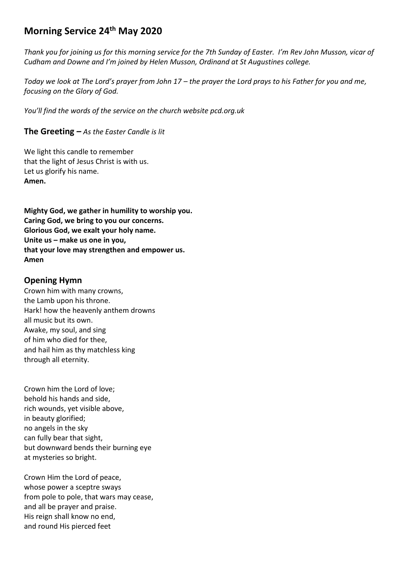# **Morning Service 24th May 2020**

*Thank you for joining us for this morning service for the 7th Sunday of Easter. I'm Rev John Musson, vicar of Cudham and Downe and I'm joined by Helen Musson, Ordinand at St Augustines college.* 

*Today we look at The Lord's prayer from John 17 – the prayer the Lord prays to his Father for you and me, focusing on the Glory of God.*

*You'll find the words of the service on the church website pcd.org.uk* 

**The Greeting** *– As the Easter Candle is lit*

We light this candle to remember that the light of Jesus Christ is with us. Let us glorify his name. **Amen.**

**Mighty God, we gather in humility to worship you. Caring God, we bring to you our concerns. Glorious God, we exalt your holy name. Unite us – make us one in you, that your love may strengthen and empower us. Amen**

### **Opening Hymn**

Crown him with many crowns, the Lamb upon his throne. Hark! how the heavenly anthem drowns all music but its own. Awake, my soul, and sing of him who died for thee, and hail him as thy matchless king through all eternity.

Crown him the Lord of love; behold his hands and side, rich wounds, yet visible above, in beauty glorified; no angels in the sky can fully bear that sight, but downward bends their burning eye at mysteries so bright.

Crown Him the Lord of peace, whose power a sceptre sways from pole to pole, that wars may cease, and all be prayer and praise. His reign shall know no end, and round His pierced feet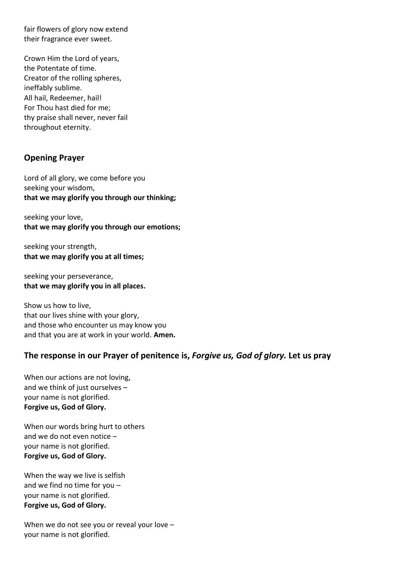fair flowers of glory now extend their fragrance ever sweet.

Crown Him the Lord of years, the Potentate of time. Creator of the rolling spheres, ineffably sublime. All hail, Redeemer, hail! For Thou hast died for me; thy praise shall never, never fail throughout eternity.

## **Opening Prayer**

Lord of all glory, we come before you seeking your wisdom, **that we may glorify you through our thinking;**

seeking your love, **that we may glorify you through our emotions;**

seeking your strength, **that we may glorify you at all times;**

seeking your perseverance, **that we may glorify you in all places.**

Show us how to live, that our lives shine with your glory, and those who encounter us may know you and that you are at work in your world. **Amen.**

## **The response in our Prayer of penitence is,** *Forgive us, God of glory.* **Let us pray**

When our actions are not loving, and we think of just ourselves – your name is not glorified. **Forgive us, God of Glory.**

When our words bring hurt to others and we do not even notice – your name is not glorified. **Forgive us, God of Glory.**

When the way we live is selfish and we find no time for you – your name is not glorified. **Forgive us, God of Glory.**

When we do not see you or reveal your love your name is not glorified.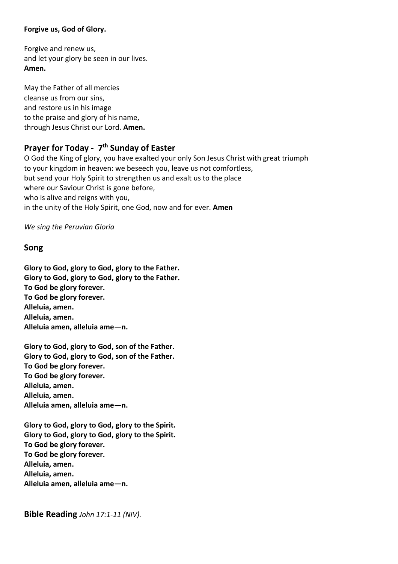#### **Forgive us, God of Glory.**

Forgive and renew us, and let your glory be seen in our lives. **Amen.**

May the Father of all mercies cleanse us from our sins, and restore us in his image to the praise and glory of his name, through Jesus Christ our Lord. **Amen.**

## **Prayer for Today - 7 th Sunday of Easter**

O God the King of glory, you have exalted your only Son Jesus Christ with great triumph to your kingdom in heaven: we beseech you, leave us not comfortless, but send your Holy Spirit to strengthen us and exalt us to the place where our Saviour Christ is gone before, who is alive and reigns with you, in the unity of the Holy Spirit, one God, now and for ever. **Amen**

*We sing the Peruvian Gloria*

#### **Song**

**Glory to God, glory to God, glory to the Father. Glory to God, glory to God, glory to the Father. To God be glory forever. To God be glory forever. Alleluia, amen. Alleluia, amen. Alleluia amen, alleluia ame—n.**

**Glory to God, glory to God, son of the Father. Glory to God, glory to God, son of the Father. To God be glory forever. To God be glory forever. Alleluia, amen. Alleluia, amen. Alleluia amen, alleluia ame—n.**

**Glory to God, glory to God, glory to the Spirit. Glory to God, glory to God, glory to the Spirit. To God be glory forever. To God be glory forever. Alleluia, amen. Alleluia, amen. Alleluia amen, alleluia ame—n.**

**Bible Reading** *John 17:1-11 (NIV).*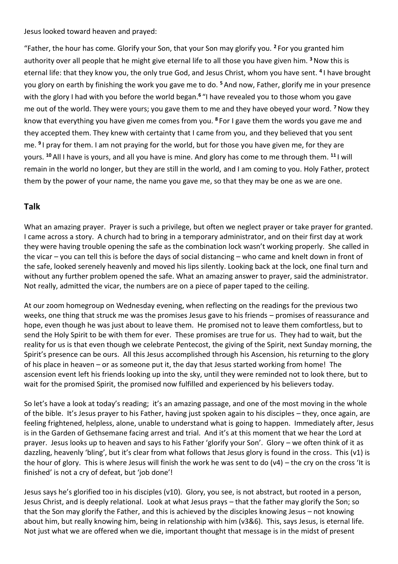Jesus looked toward heaven and prayed:

"Father, the hour has come. Glorify your Son, that your Son may glorify you. **<sup>2</sup>** For you granted him authority over all people that he might give eternal life to all those you have given him. **<sup>3</sup>**Now this is eternal life: that they know you, the only true God, and Jesus Christ, whom you have sent. **<sup>4</sup>** I have brought you glory on earth by finishing the work you gave me to do. **<sup>5</sup>** And now, Father, glorify me in your presence with the glory I had with you before the world began.**<sup>6</sup>** "I have revealed you to those whom you gave me out of the world. They were yours; you gave them to me and they have obeyed your word. **<sup>7</sup>**Now they know that everything you have given me comes from you. **<sup>8</sup>** For I gave them the words you gave me and they accepted them. They knew with certainty that I came from you, and they believed that you sent me. **<sup>9</sup>** I pray for them. I am not praying for the world, but for those you have given me, for they are yours. **<sup>10</sup>** All I have is yours, and all you have is mine. And glory has come to me through them. **<sup>11</sup>** I will remain in the world no longer, but they are still in the world, and I am coming to you. Holy Father, protect them by the power of your name, the name you gave me, so that they may be one as we are one.

## **Talk**

What an amazing prayer. Prayer is such a privilege, but often we neglect prayer or take prayer for granted. I came across a story. A church had to bring in a temporary administrator, and on their first day at work they were having trouble opening the safe as the combination lock wasn't working properly. She called in the vicar – you can tell this is before the days of social distancing – who came and knelt down in front of the safe, looked serenely heavenly and moved his lips silently. Looking back at the lock, one final turn and without any further problem opened the safe. What an amazing answer to prayer, said the administrator. Not really, admitted the vicar, the numbers are on a piece of paper taped to the ceiling.

At our zoom homegroup on Wednesday evening, when reflecting on the readings for the previous two weeks, one thing that struck me was the promises Jesus gave to his friends – promises of reassurance and hope, even though he was just about to leave them. He promised not to leave them comfortless, but to send the Holy Spirit to be with them for ever. These promises are true for us. They had to wait, but the reality for us is that even though we celebrate Pentecost, the giving of the Spirit, next Sunday morning, the Spirit's presence can be ours. All this Jesus accomplished through his Ascension, his returning to the glory of his place in heaven – or as someone put it, the day that Jesus started working from home! The ascension event left his friends looking up into the sky, until they were reminded not to look there, but to wait for the promised Spirit, the promised now fulfilled and experienced by his believers today.

So let's have a look at today's reading; it's an amazing passage, and one of the most moving in the whole of the bible. It's Jesus prayer to his Father, having just spoken again to his disciples – they, once again, are feeling frightened, helpless, alone, unable to understand what is going to happen. Immediately after, Jesus is in the Garden of Gethsemane facing arrest and trial. And it's at this moment that we hear the Lord at prayer. Jesus looks up to heaven and says to his Father 'glorify your Son'. Glory – we often think of it as dazzling, heavenly 'bling', but it's clear from what follows that Jesus glory is found in the cross. This (v1) is the hour of glory. This is where Jesus will finish the work he was sent to do (v4) – the cry on the cross 'It is finished' is not a cry of defeat, but 'job done'!

Jesus says he's glorified too in his disciples (v10). Glory, you see, is not abstract, but rooted in a person, Jesus Christ, and is deeply relational. Look at what Jesus prays – that the father may glorify the Son; so that the Son may glorify the Father, and this is achieved by the disciples knowing Jesus – not knowing about him, but really knowing him, being in relationship with him (v3&6). This, says Jesus, is eternal life. Not just what we are offered when we die, important thought that message is in the midst of present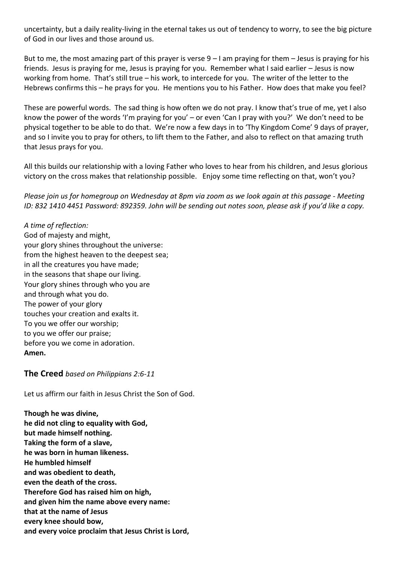uncertainty, but a daily reality-living in the eternal takes us out of tendency to worry, to see the big picture of God in our lives and those around us.

But to me, the most amazing part of this prayer is verse 9 – I am praying for them – Jesus is praying for his friends. Jesus is praying for me, Jesus is praying for you. Remember what I said earlier – Jesus is now working from home. That's still true – his work, to intercede for you. The writer of the letter to the Hebrews confirms this – he prays for you. He mentions you to his Father. How does that make you feel?

These are powerful words. The sad thing is how often we do not pray. I know that's true of me, yet I also know the power of the words 'I'm praying for you' – or even 'Can I pray with you?' We don't need to be physical together to be able to do that. We're now a few days in to 'Thy Kingdom Come' 9 days of prayer, and so I invite you to pray for others, to lift them to the Father, and also to reflect on that amazing truth that Jesus prays for you.

All this builds our relationship with a loving Father who loves to hear from his children, and Jesus glorious victory on the cross makes that relationship possible. Enjoy some time reflecting on that, won't you?

*Please join us for homegroup on Wednesday at 8pm via zoom as we look again at this passage - Meeting ID: 832 1410 4451 Password: 892359. John will be sending out notes soon, please ask if you'd like a copy.*

*A time of reflection:* God of majesty and might, your glory shines throughout the universe: from the highest heaven to the deepest sea; in all the creatures you have made; in the seasons that shape our living. Your glory shines through who you are and through what you do. The power of your glory touches your creation and exalts it. To you we offer our worship; to you we offer our praise; before you we come in adoration. **Amen.**

#### **The Creed** *based on Philippians 2:6-11*

Let us affirm our faith in Jesus Christ the Son of God.

**Though he was divine, he did not cling to equality with God, but made himself nothing. Taking the form of a slave, he was born in human likeness. He humbled himself and was obedient to death, even the death of the cross. Therefore God has raised him on high, and given him the name above every name: that at the name of Jesus every knee should bow, and every voice proclaim that Jesus Christ is Lord,**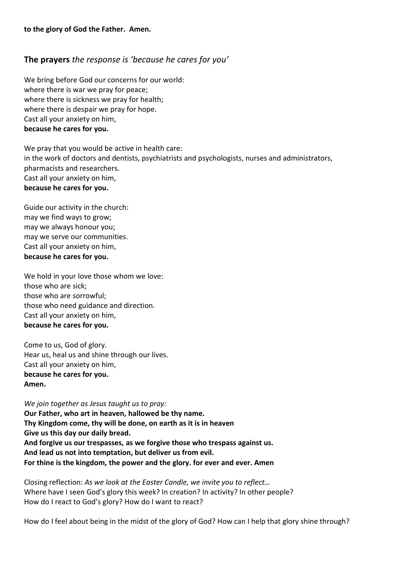### **The prayers** *the response is 'because he cares for you'*

We bring before God our concerns for our world: where there is war we pray for peace; where there is sickness we pray for health; where there is despair we pray for hope. Cast all your anxiety on him, **because he cares for you.**

We pray that you would be active in health care: in the work of doctors and dentists, psychiatrists and psychologists, nurses and administrators, pharmacists and researchers. Cast all your anxiety on him, **because he cares for you.**

Guide our activity in the church: may we find ways to grow; may we always honour you; may we serve our communities. Cast all your anxiety on him, **because he cares for you.**

We hold in your love those whom we love: those who are sick; those who are sorrowful; those who need guidance and direction. Cast all your anxiety on him, **because he cares for you.**

Come to us, God of glory. Hear us, heal us and shine through our lives. Cast all your anxiety on him, **because he cares for you. Amen.**

*We join together as Jesus taught us to pray:* **Our Father, who art in heaven, hallowed be thy name. Thy Kingdom come, thy will be done, on earth as it is in heaven Give us this day our daily bread. And forgive us our trespasses, as we forgive those who trespass against us. And lead us not into temptation, but deliver us from evil. For thine is the kingdom, the power and the glory. for ever and ever. Amen**

Closing reflection: *As we look at the Easter Candle, we invite you to reflect…* Where have I seen God's glory this week? In creation? In activity? In other people? How do I react to God's glory? How do I want to react?

How do I feel about being in the midst of the glory of God? How can I help that glory shine through?